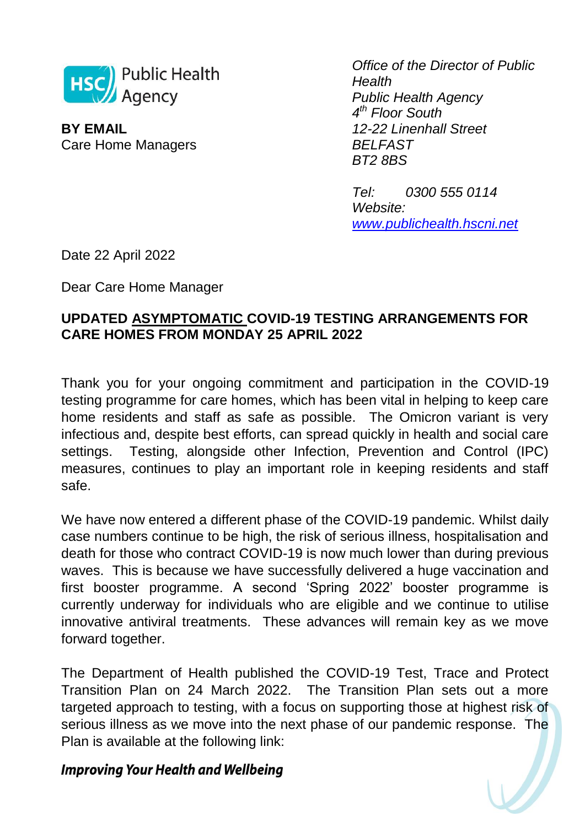

**BY EMAIL** Care Home Managers *Office of the Director of Public Health Public Health Agency 4 th Floor South 12-22 Linenhall Street BELFAST BT2 8BS*

*Tel: 0300 555 0114 Website: [www.publichealth.hscni.net](http://www.publichealth.hscni.net/)*

Date 22 April 2022

Dear Care Home Manager

# **UPDATED ASYMPTOMATIC COVID-19 TESTING ARRANGEMENTS FOR CARE HOMES FROM MONDAY 25 APRIL 2022**

Thank you for your ongoing commitment and participation in the COVID-19 testing programme for care homes, which has been vital in helping to keep care home residents and staff as safe as possible. The Omicron variant is very infectious and, despite best efforts, can spread quickly in health and social care settings. Testing, alongside other Infection, Prevention and Control (IPC) measures, continues to play an important role in keeping residents and staff safe.

We have now entered a different phase of the COVID-19 pandemic. Whilst daily case numbers continue to be high, the risk of serious illness, hospitalisation and death for those who contract COVID-19 is now much lower than during previous waves. This is because we have successfully delivered a huge vaccination and first booster programme. A second 'Spring 2022' booster programme is currently underway for individuals who are eligible and we continue to utilise innovative antiviral treatments. These advances will remain key as we move forward together.

The Department of Health published the COVID-19 Test, Trace and Protect Transition Plan on 24 March 2022. The Transition Plan sets out a more targeted approach to testing, with a focus on supporting those at highest risk of serious illness as we move into the next phase of our pandemic response. The Plan is available at the following link: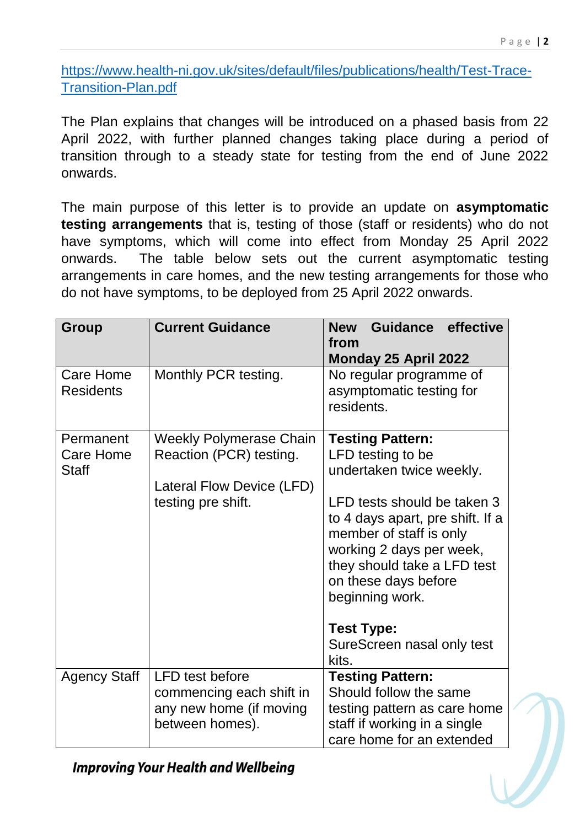[https://www.health-ni.gov.uk/sites/default/files/publications/health/Test-Trace-](https://www.health-ni.gov.uk/sites/default/files/publications/health/Test-Trace-Transition-Plan.pdf)[Transition-Plan.pdf](https://www.health-ni.gov.uk/sites/default/files/publications/health/Test-Trace-Transition-Plan.pdf)

The Plan explains that changes will be introduced on a phased basis from 22 April 2022, with further planned changes taking place during a period of transition through to a steady state for testing from the end of June 2022 onwards.

The main purpose of this letter is to provide an update on **asymptomatic testing arrangements** that is, testing of those (staff or residents) who do not have symptoms, which will come into effect from Monday 25 April 2022 onwards. The table below sets out the current asymptomatic testing arrangements in care homes, and the new testing arrangements for those who do not have symptoms, to be deployed from 25 April 2022 onwards.

| <b>Group</b>                                  | <b>Current Guidance</b>                                                                                      | Guidance effective<br><b>New</b><br>from<br>Monday 25 April 2022                                                                                                                                                                                                                                                                         |
|-----------------------------------------------|--------------------------------------------------------------------------------------------------------------|------------------------------------------------------------------------------------------------------------------------------------------------------------------------------------------------------------------------------------------------------------------------------------------------------------------------------------------|
| Care Home<br><b>Residents</b>                 | Monthly PCR testing.                                                                                         | No regular programme of<br>asymptomatic testing for<br>residents.                                                                                                                                                                                                                                                                        |
| Permanent<br><b>Care Home</b><br><b>Staff</b> | <b>Weekly Polymerase Chain</b><br>Reaction (PCR) testing.<br>Lateral Flow Device (LFD)<br>testing pre shift. | <b>Testing Pattern:</b><br>LFD testing to be<br>undertaken twice weekly.<br>LFD tests should be taken 3<br>to 4 days apart, pre shift. If a<br>member of staff is only<br>working 2 days per week,<br>they should take a LFD test<br>on these days before<br>beginning work.<br><b>Test Type:</b><br>SureScreen nasal only test<br>kits. |
| <b>Agency Staff</b>                           | <b>LFD</b> test before<br>commencing each shift in<br>any new home (if moving<br>between homes).             | <b>Testing Pattern:</b><br>Should follow the same<br>testing pattern as care home<br>staff if working in a single<br>care home for an extended                                                                                                                                                                                           |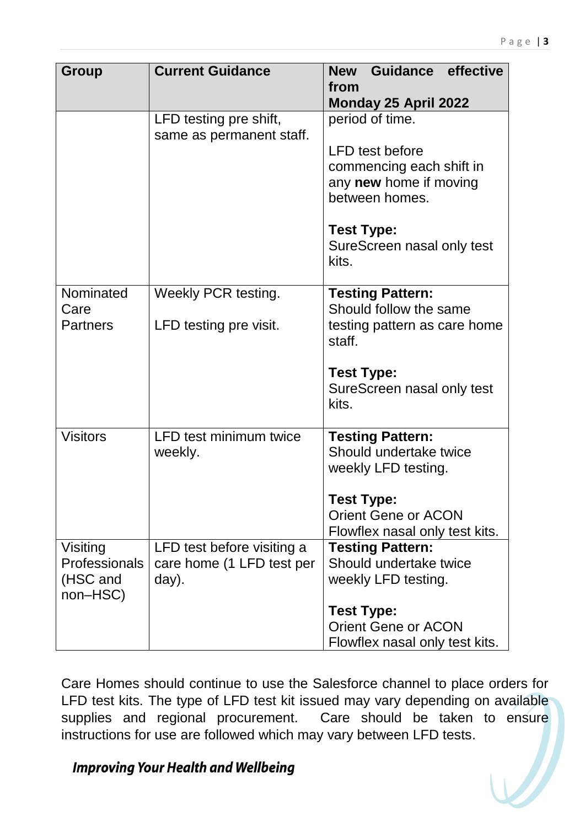| Group                                             | <b>Current Guidance</b>                                          | Guidance effective<br><b>New</b><br>from<br>Monday 25 April 2022                               |
|---------------------------------------------------|------------------------------------------------------------------|------------------------------------------------------------------------------------------------|
|                                                   | LFD testing pre shift,<br>same as permanent staff.               | period of time.                                                                                |
|                                                   |                                                                  | <b>LFD</b> test before<br>commencing each shift in<br>any new home if moving<br>between homes. |
|                                                   |                                                                  | <b>Test Type:</b><br>SureScreen nasal only test<br>kits.                                       |
| Nominated<br>Care                                 | Weekly PCR testing.                                              | <b>Testing Pattern:</b><br>Should follow the same                                              |
| <b>Partners</b>                                   | LFD testing pre visit.                                           | testing pattern as care home<br>staff.                                                         |
|                                                   |                                                                  | <b>Test Type:</b><br>SureScreen nasal only test<br>kits.                                       |
| <b>Visitors</b>                                   | LFD test minimum twice<br>weekly.                                | <b>Testing Pattern:</b><br>Should undertake twice<br>weekly LFD testing.                       |
|                                                   |                                                                  | <b>Test Type:</b><br><b>Orient Gene or ACON</b><br>Flowflex nasal only test kits.              |
| Visiting<br>Professionals<br>(HSC and<br>non-HSC) | LFD test before visiting a<br>care home (1 LFD test per<br>day). | <b>Testing Pattern:</b><br>Should undertake twice<br>weekly LFD testing.                       |
|                                                   |                                                                  | <b>Test Type:</b><br><b>Orient Gene or ACON</b><br>Flowflex nasal only test kits.              |

Care Homes should continue to use the Salesforce channel to place orders for LFD test kits. The type of LFD test kit issued may vary depending on available supplies and regional procurement. Care should be taken to ensure instructions for use are followed which may vary between LFD tests.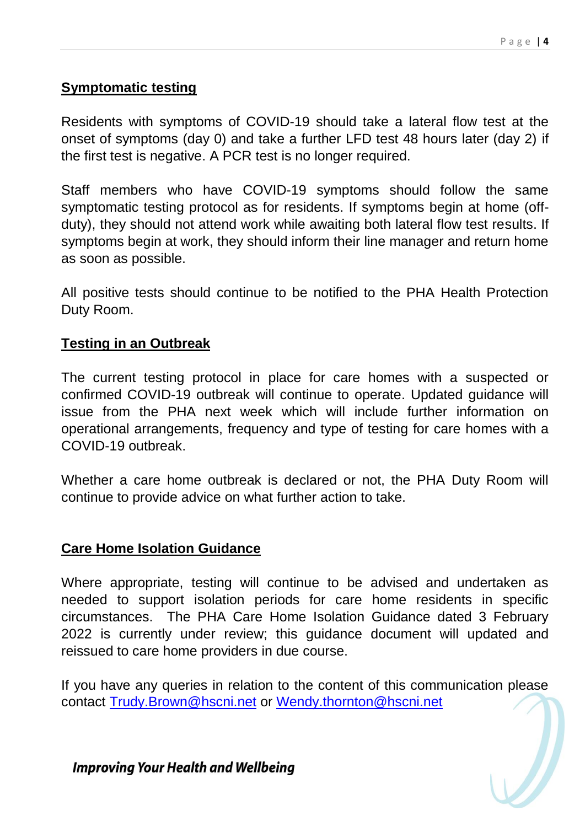# **Symptomatic testing**

Residents with symptoms of COVID-19 should take a lateral flow test at the onset of symptoms (day 0) and take a further LFD test 48 hours later (day 2) if the first test is negative. A PCR test is no longer required.

Staff members who have COVID-19 symptoms should follow the same symptomatic testing protocol as for residents. If symptoms begin at home (offduty), they should not attend work while awaiting both lateral flow test results. If symptoms begin at work, they should inform their line manager and return home as soon as possible.

All positive tests should continue to be notified to the PHA Health Protection Duty Room.

# **Testing in an Outbreak**

The current testing protocol in place for care homes with a suspected or confirmed COVID-19 outbreak will continue to operate. Updated guidance will issue from the PHA next week which will include further information on operational arrangements, frequency and type of testing for care homes with a COVID-19 outbreak.

Whether a care home outbreak is declared or not, the PHA Duty Room will continue to provide advice on what further action to take.

## **Care Home Isolation Guidance**

Where appropriate, testing will continue to be advised and undertaken as needed to support isolation periods for care home residents in specific circumstances. The PHA Care Home Isolation Guidance dated 3 February 2022 is currently under review; this guidance document will updated and reissued to care home providers in due course.

If you have any queries in relation to the content of this communication please contact [Trudy.Brown@hscni.net](mailto:Trudy.Brown@hscni.net) or [Wendy.thornton@hscni.net](mailto:Wendy.thornton@hscni.net)